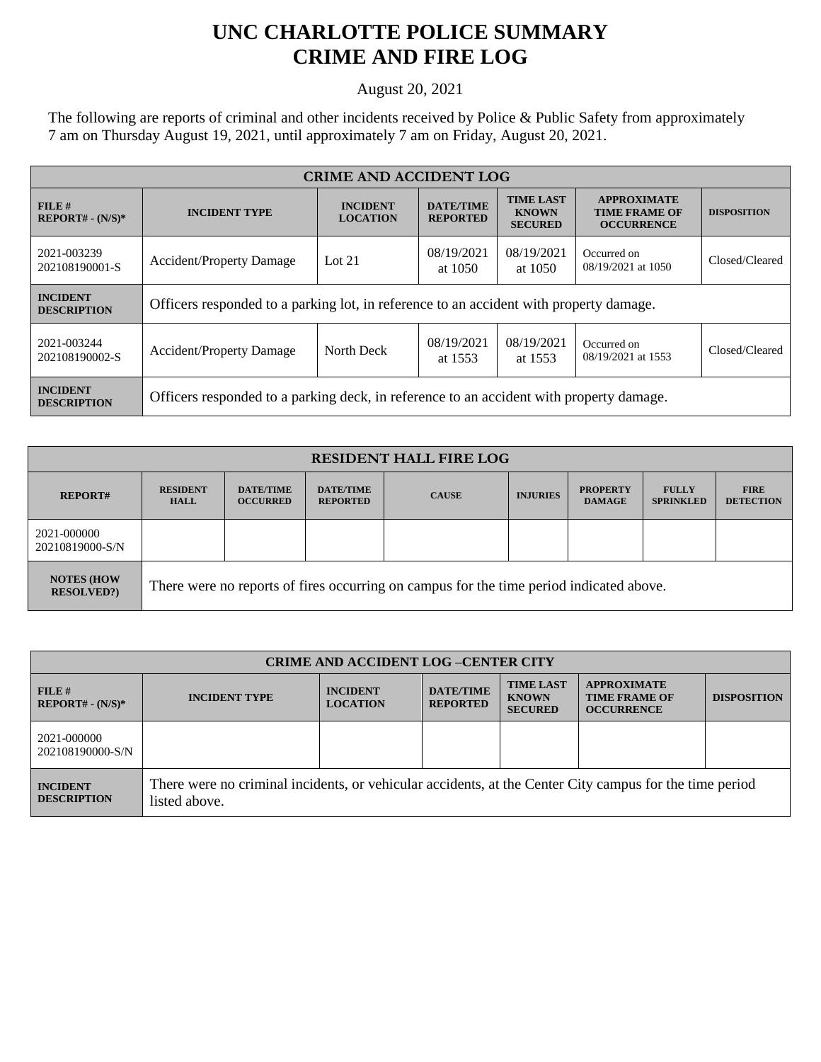## **UNC CHARLOTTE POLICE SUMMARY CRIME AND FIRE LOG**

August 20, 2021

The following are reports of criminal and other incidents received by Police & Public Safety from approximately 7 am on Thursday August 19, 2021, until approximately 7 am on Friday, August 20, 2021.

| <b>CRIME AND ACCIDENT LOG</b>         |                                                                                         |                                    |                                     |                                                    |                                                                 |                    |
|---------------------------------------|-----------------------------------------------------------------------------------------|------------------------------------|-------------------------------------|----------------------------------------------------|-----------------------------------------------------------------|--------------------|
| FILE#<br>$REPORT# - (N/S)*$           | <b>INCIDENT TYPE</b>                                                                    | <b>INCIDENT</b><br><b>LOCATION</b> | <b>DATE/TIME</b><br><b>REPORTED</b> | <b>TIME LAST</b><br><b>KNOWN</b><br><b>SECURED</b> | <b>APPROXIMATE</b><br><b>TIME FRAME OF</b><br><b>OCCURRENCE</b> | <b>DISPOSITION</b> |
| 2021-003239<br>202108190001-S         | <b>Accident/Property Damage</b>                                                         | Lot $21$                           | 08/19/2021<br>at 1050               | 08/19/2021<br>at 1050                              | Occurred on<br>08/19/2021 at 1050                               | Closed/Cleared     |
| <b>INCIDENT</b><br><b>DESCRIPTION</b> | Officers responded to a parking lot, in reference to an accident with property damage.  |                                    |                                     |                                                    |                                                                 |                    |
| 2021-003244<br>202108190002-S         | <b>Accident/Property Damage</b>                                                         | North Deck                         | 08/19/2021<br>at 1553               | 08/19/2021<br>at 1553                              | Occurred on<br>08/19/2021 at 1553                               | Closed/Cleared     |
| <b>INCIDENT</b><br><b>DESCRIPTION</b> | Officers responded to a parking deck, in reference to an accident with property damage. |                                    |                                     |                                                    |                                                                 |                    |

| <b>RESIDENT HALL FIRE LOG</b>           |                                                                                         |                                     |                                     |              |                 |                                  |                                  |                                 |
|-----------------------------------------|-----------------------------------------------------------------------------------------|-------------------------------------|-------------------------------------|--------------|-----------------|----------------------------------|----------------------------------|---------------------------------|
| <b>REPORT#</b>                          | <b>RESIDENT</b><br><b>HALL</b>                                                          | <b>DATE/TIME</b><br><b>OCCURRED</b> | <b>DATE/TIME</b><br><b>REPORTED</b> | <b>CAUSE</b> | <b>INJURIES</b> | <b>PROPERTY</b><br><b>DAMAGE</b> | <b>FULLY</b><br><b>SPRINKLED</b> | <b>FIRE</b><br><b>DETECTION</b> |
| 2021-000000<br>20210819000-S/N          |                                                                                         |                                     |                                     |              |                 |                                  |                                  |                                 |
| <b>NOTES (HOW)</b><br><b>RESOLVED?)</b> | There were no reports of fires occurring on campus for the time period indicated above. |                                     |                                     |              |                 |                                  |                                  |                                 |

| <b>CRIME AND ACCIDENT LOG -CENTER CITY</b> |                                                                                                                          |                                    |                                     |                                                    |                                                                 |                    |
|--------------------------------------------|--------------------------------------------------------------------------------------------------------------------------|------------------------------------|-------------------------------------|----------------------------------------------------|-----------------------------------------------------------------|--------------------|
| FILE H<br>$REPORT# - (N/S)*$               | <b>INCIDENT TYPE</b>                                                                                                     | <b>INCIDENT</b><br><b>LOCATION</b> | <b>DATE/TIME</b><br><b>REPORTED</b> | <b>TIME LAST</b><br><b>KNOWN</b><br><b>SECURED</b> | <b>APPROXIMATE</b><br><b>TIME FRAME OF</b><br><b>OCCURRENCE</b> | <b>DISPOSITION</b> |
| 2021-000000<br>202108190000-S/N            |                                                                                                                          |                                    |                                     |                                                    |                                                                 |                    |
| <b>INCIDENT</b><br><b>DESCRIPTION</b>      | There were no criminal incidents, or vehicular accidents, at the Center City campus for the time period<br>listed above. |                                    |                                     |                                                    |                                                                 |                    |